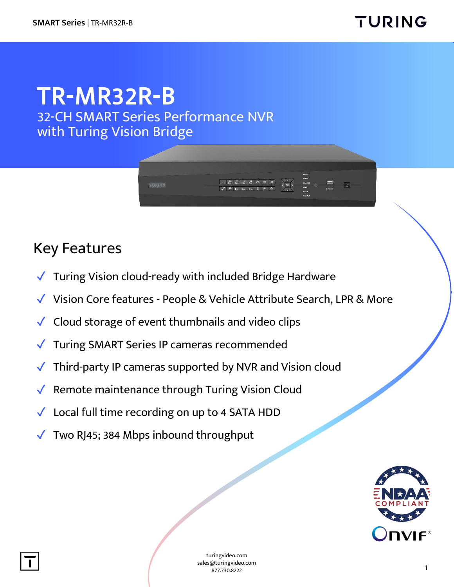## TR-MR32R-B 32-CH SMART Series Performance NVR

with Turing Vision Bridge

## Key Features

- ✓ Turing Vision cloud-ready with included Bridge Hardware
- ✓ Vision Core features People & Vehicle Attribute Search, LPR & More
- Cloud storage of event thumbnails and video clips
- ✓ Turing SMART Series IP cameras recommended
- Third-party IP cameras supported by NVR and Vision cloud
- ✓ Remote maintenance through Turing Vision Cloud
- ✓ Local full time recording on up to 4 SATA HDD
- Two RJ45; 384 Mbps inbound throughput



turingvideo.com sales@turingvideo.com 877.730.8222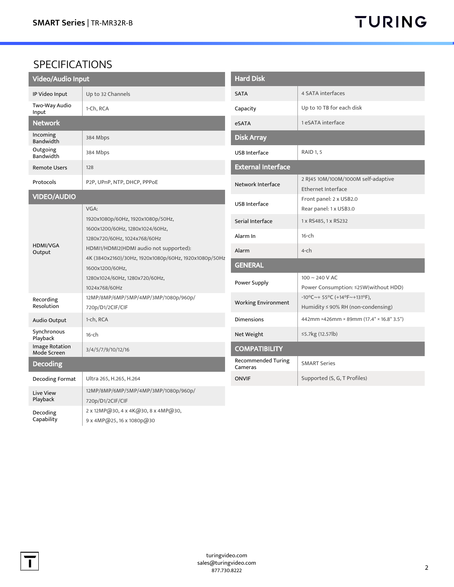## SPECIFICATIONS

| <b>Video/Audio Input</b>             |                                                                                                                                                                                                                                                                                       |  |
|--------------------------------------|---------------------------------------------------------------------------------------------------------------------------------------------------------------------------------------------------------------------------------------------------------------------------------------|--|
| IP Video Input                       | Up to 32 Channels                                                                                                                                                                                                                                                                     |  |
| Two-Way Audio<br>Input               | 1-Ch, RCA                                                                                                                                                                                                                                                                             |  |
| <b>Network</b>                       |                                                                                                                                                                                                                                                                                       |  |
| Incoming<br><b>Bandwidth</b>         | 384 Mbps                                                                                                                                                                                                                                                                              |  |
| Outgoing<br>Bandwidth                | 384 Mbps                                                                                                                                                                                                                                                                              |  |
| <b>Remote Users</b>                  | 128                                                                                                                                                                                                                                                                                   |  |
| Protocols                            | P2P, UPnP, NTP, DHCP, PPPoE                                                                                                                                                                                                                                                           |  |
| <b>VIDEO/AUDIO</b>                   |                                                                                                                                                                                                                                                                                       |  |
| HDMI/VGA<br>Output                   | VGA:<br>1920x1080p/60Hz, 1920x1080p/50Hz,<br>1600x1200/60Hz, 1280x1024/60Hz,<br>1280x720/60Hz, 1024x768/60Hz<br>HDMI1/HDMI2(HDMI audio not supported):<br>4K (3840x2160)/30Hz, 1920x1080p/60Hz, 1920x1080p/50Hz<br>1600x1200/60Hz,<br>1280x1024/60Hz, 1280x720/60Hz,<br>1024x768/60Hz |  |
| Recording<br>Resolution              | 12MP/8MP/6MP/5MP/4MP/3MP/1080p/960p/<br>720p/D1/2CIF/CIF                                                                                                                                                                                                                              |  |
| Audio Output                         | 1-ch, RCA                                                                                                                                                                                                                                                                             |  |
| Synchronous<br>Playback              | $16$ -ch                                                                                                                                                                                                                                                                              |  |
| <b>Image Rotation</b><br>Mode Screen | 3/4/5/7/9/10/12/16                                                                                                                                                                                                                                                                    |  |
| <b>Decoding</b>                      |                                                                                                                                                                                                                                                                                       |  |
| Decoding Format                      | Ultra 265, H.265, H.264                                                                                                                                                                                                                                                               |  |
| <b>Live View</b><br>Playback         | 12MP/8MP/6MP/5MP/4MP/3MP/1080p/960p/<br>720p/D1/2CIF/CIF                                                                                                                                                                                                                              |  |
| Decoding<br>Capability               | 2 x 12MP@30, 4 x 4K@30, 8 x 4MP@30,<br>9 x 4MP@25, 16 x 1080p@30                                                                                                                                                                                                                      |  |

| <b>Hard Disk</b>                     |                                                                                       |  |
|--------------------------------------|---------------------------------------------------------------------------------------|--|
| <b>SATA</b>                          | 4 SATA interfaces                                                                     |  |
| Capacity                             | Up to 10 TB for each disk                                                             |  |
| <b>eSATA</b>                         | 1 eSATA interface                                                                     |  |
| <b>Disk Array</b>                    |                                                                                       |  |
| <b>USB Interface</b>                 | <b>RAID 1, 5</b>                                                                      |  |
| <b>External Interface</b>            |                                                                                       |  |
| Network Interface                    | 2 RJ45 10M/100M/1000M self-adaptive<br><b>Ethernet Interface</b>                      |  |
| <b>USB Interface</b>                 | Front panel: 2 x USB2.0<br>Rear panel: 1 x USB3.0                                     |  |
| Serial Interface                     | 1 x RS485, 1 x RS232                                                                  |  |
| Alarm In                             | $16$ -ch                                                                              |  |
| Alarm                                | $4$ -ch                                                                               |  |
| <b>GENERAL</b>                       |                                                                                       |  |
| Power Supply                         | $100 \sim 240$ V AC<br>Power Consumption: ≤25W(without HDD)                           |  |
| <b>Working Environment</b>           | $-10^{\circ}$ C ~ + 55°C (+14°F ~ +131°F),<br>Humidity $\leq$ 90% RH (non-condensing) |  |
| Dimensions                           | 442mm ×426mm × 89mm (17.4" × 16.8" 3.5")                                              |  |
| Net Weight                           | ≤5.7kg (12.57lb)                                                                      |  |
| <b>COMPATIBILITY</b>                 |                                                                                       |  |
| <b>Recommended Turing</b><br>Cameras | <b>SMART Series</b>                                                                   |  |
| <b>ONVIF</b>                         | Supported (S, G, T Profiles)                                                          |  |